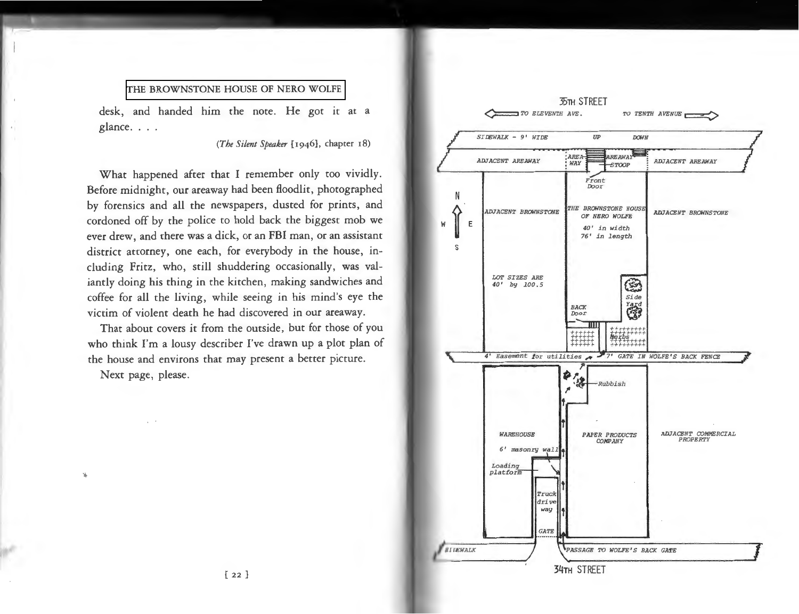desk, and handed him the note. He got it at a glance...

*(The Silent Speaker* [1946}, chapter r8)

What happened after that I remember only too vividly. Before midnight, our areaway had been floodlit, photographed by forensics and all the newspapers, dusted for prints, and cordoned off by the police to hold back the biggest mob we ever drew, and there was a dick, or an FBI man, or an assistant district attorney, one each, for everybody in the house, including Fritz, who, still shuddering occasionally, was valiantly doing his thing in the kitchen, making sandwiches and coffee for all the living, while seeing in his mind's eye the victim of violent death he had discovered in our areaway.

That about covers it from the outside, but for those of you who think I'm a lousy describer I've drawn up a plot plan of the house and environs that may present a better picture.

Next page, please.

-..

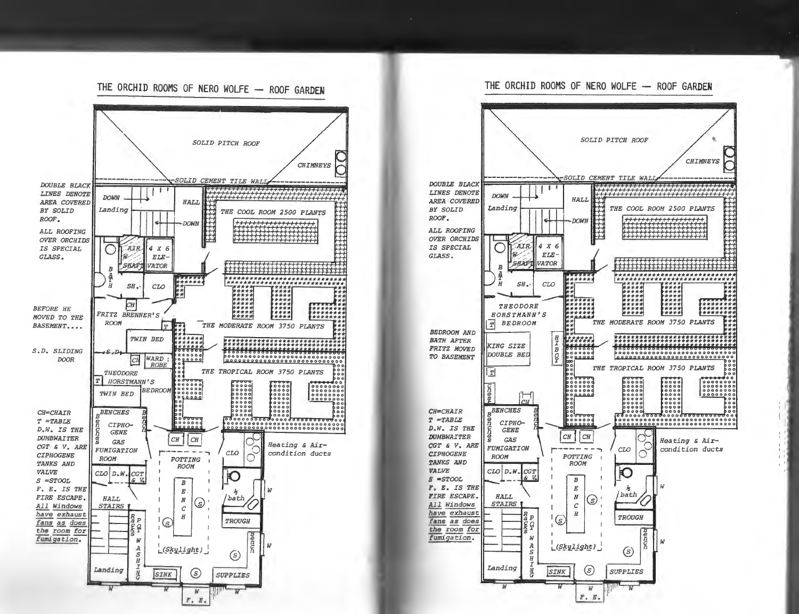

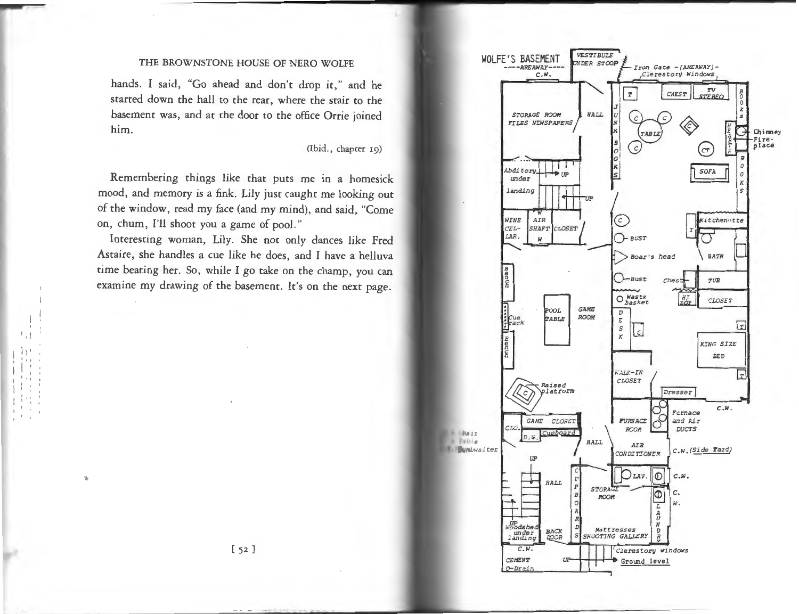hands. I said, "Go ahead and don't drop it," and he started down the hall to the rear, where the stair to the basement was, and at the door to the office Orrie joined him.

(Ibid., chapter 19)

Remembering things like that puts me in a homesick mood, and memory is a fink. Lily just caught me looking out of the window, read my face (and my mind), and said, "Come on, chum, I'll shoot you a game of pool."

Interesting woman, Lily. She not only dances like Fred Astaire, she handles a cue like he does, and I have a helluva time beating her. So, while I go take on the champ, you can examine my drawing of the basement. It's on the next page.



 $\left[52\right]$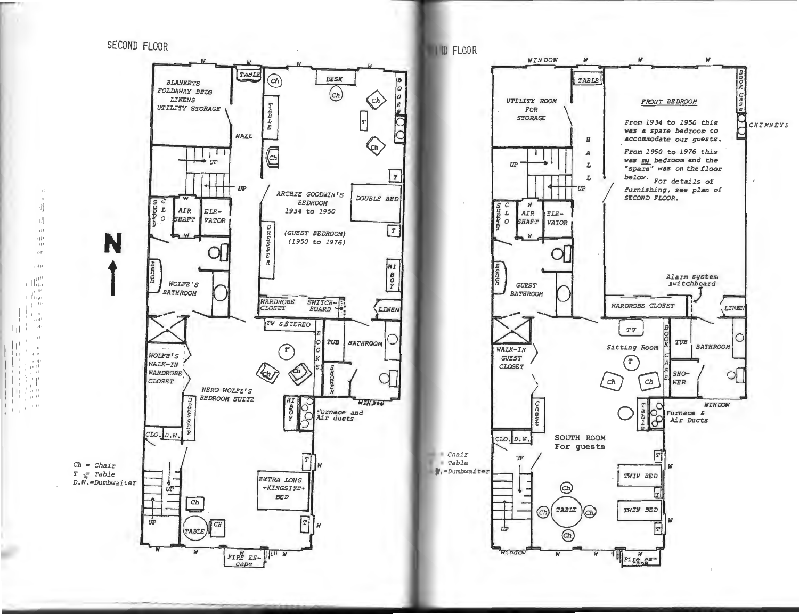SECOND FLOOR

**D** FLOOR



 $111$  $.511$ altr  $\frac{1}{2}$ p.m شنا ا  $1 - H^*$  $\cdots$  $\mu$  $\mathbf{H}$  $\rightarrow$  $\left\{ -1\right\}$  $\frac{1}{10} \frac{\Omega}{\Omega}$  $\rightarrow$  1

 $^{\circ}$  ()

 $\pm$ 

 $\overline{11}$ 

ıÌİ

лŀ

 $127$ 

 $(1)$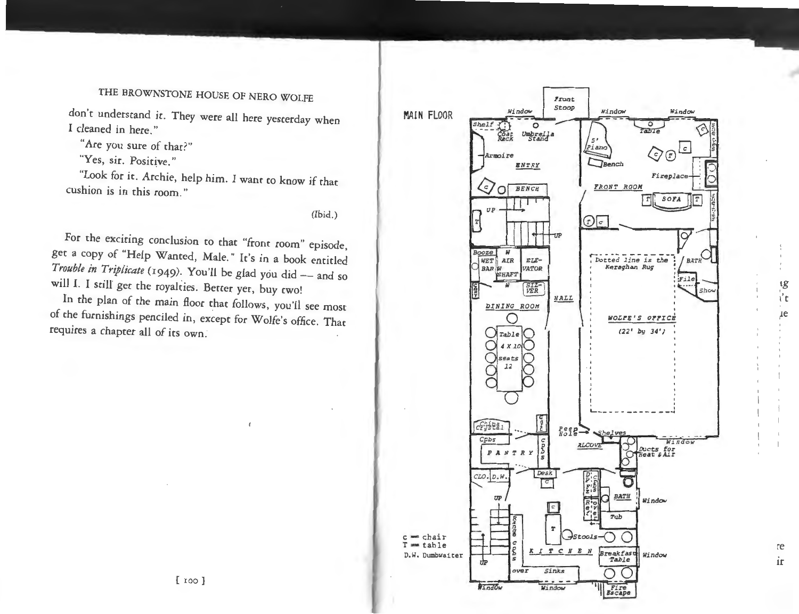don't understand it. They were all here yesterday when I cleaned in here."

"Are you sure of that?"

"Yes, sir. Positive."

"Look for it. Archie, help him. I want to know if that cushion is in this room."

(Ibid.)

For the exciting conclusion to that "front room" episode, get a copy of "Help Wanted, Male." It's in a book entitled Trouble in Triplicate (1949). You'll be glad you did - and so will I. I still get the royalties. Better yet, buy two!

In the plan of the main floor that follows, you'll see most of the furnishings penciled in, except for Wolfe's office. That requires a chapter all of its own.

 $\overline{\phantom{a}}$ 



 $[100]$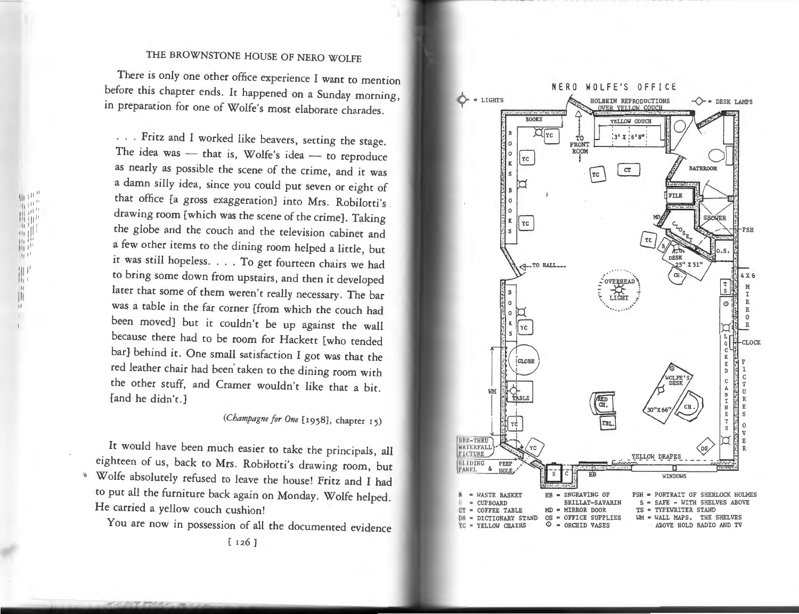There is only one other office experience I want to mention before this chapter ends. It happened on a Sunday morning, in preparation for one of Wolfe's most elaborate charades.

... Fritz and I worked like beavers, setting the stage. The idea was  $-$  that is, Wolfe's idea  $-$  to reproduce as nearly as possible the scene of the crime, and it was a damn silly idea, since you could put seven or eight of that office [a gross exaggeration} into Mrs. Robilotti's drawing room [which was the scene of the crime}. Taking the globe and the couch and the television cabinet and a few other items to the dining room helped a little, bur it was still hopeless .... To get fourteen chairs we had to bring some down from upstairs, and then it developed later that some of them weren't really necessary. The bar was a table in the far corner [from which the couch had been moved} but it couldn't be up against the wall because there had to be room for Hackett [who tended bar} behind it. One small satisfaction I got was that the red leather chair had been' taken to the dining room with the other stuff, and Cramer wouldn't like that a bit. [and he didn't.}

 $\mathbf{I}$  1' " **!IIIII, ;1: til ..**  'I 'II '  $\cdot$   $\cdot$   $\cdot$   $\cdot$   $\cdot$   $\cdot$   $\cdot$  $\mathop{||\hspace{-.04in}||}$  $\mathbf{1}$  1' **It 1 1**  ;111' ill

# *(Champagne for One* [1958], chapter 15)

It would have been much easier to take the principals, all eighteen of us, back to Mrs. Robilotti's drawing room, but \* Wolfe absolutely refused to leave the house! Fritz and I had to put all the furniture back again on Monday. Wolfe helped. He carried a yellow couch cushion!

You are now in possession of all the documented evidence

*[* 126}



DN = DICTIONARY STAND **VC** = YELLOW CHAIRS OS = OFFICE SUPPLIES  $O = ORCHID VASES$ 

 WM = WALL MAPS. THE SHELVES ABOVE HOLD RADIO AND TV